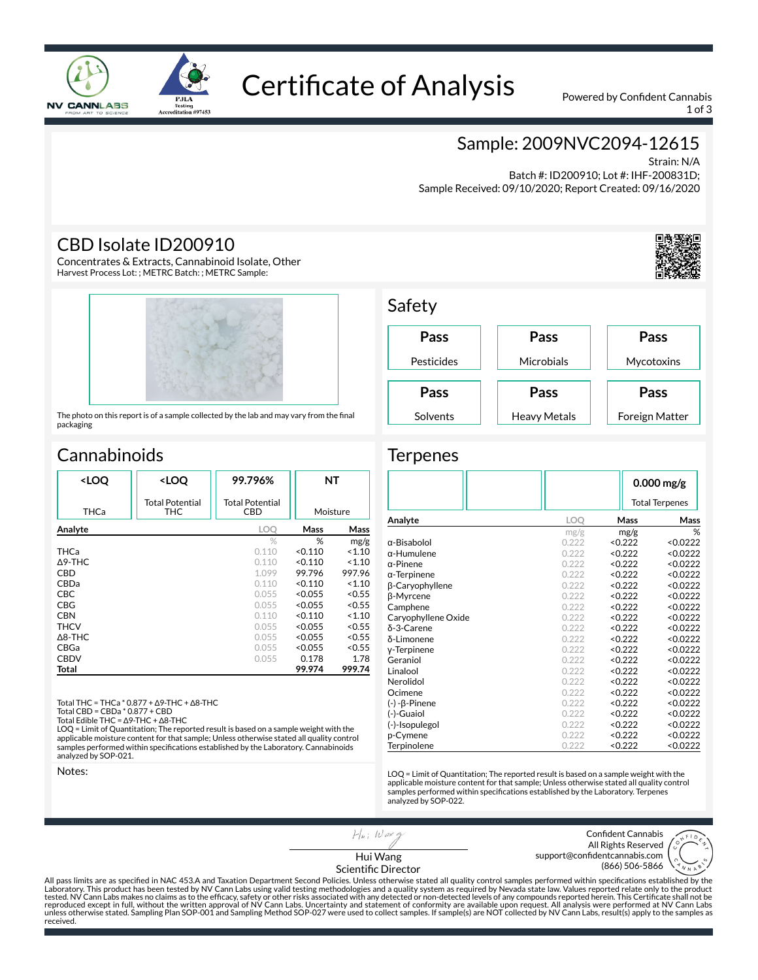

# Certificate of Analysis Powered by Confident Cannabis

1 of 3

### Sample: 2009NVC2094-12615

Strain: N/A Batch #: ID200910; Lot #: IHF-200831D;

Sample Received: 09/10/2020; Report Created: 09/16/2020

#### CBD Isolate ID200910

Concentrates & Extracts, Cannabinoid Isolate, Other Harvest Process Lot: ; METRC Batch: ; METRC Sample:

**PJLA** 

Testing<br>Accreditation #97453



The photo on this report is of a sample collected by the lab and may vary from the final packaging

# **Cannabinoids**

| <loq< th=""><th><loq< th=""><th>99.796%</th><th colspan="2">NΤ</th></loq<></th></loq<> | <loq< th=""><th>99.796%</th><th colspan="2">NΤ</th></loq<> | 99.796%                       | NΤ       |        |
|----------------------------------------------------------------------------------------|------------------------------------------------------------|-------------------------------|----------|--------|
| THCa                                                                                   | <b>Total Potential</b><br>THC                              | <b>Total Potential</b><br>CBD | Moisture |        |
| Analyte                                                                                |                                                            | LOO                           | Mass     | Mass   |
|                                                                                        |                                                            | $\%$                          | %        | mg/g   |
| THCa                                                                                   |                                                            | 0.110                         | < 0.110  | < 1.10 |
| $\Delta$ 9-THC                                                                         |                                                            | 0.110                         | < 0.110  | < 1.10 |
| CBD                                                                                    |                                                            | 1.099                         | 99.796   | 997.96 |
| CBDa                                                                                   |                                                            | 0.110                         | < 0.110  | < 1.10 |
| <b>CBC</b>                                                                             |                                                            | 0.055                         | < 0.055  | < 0.55 |
| CBG                                                                                    |                                                            | 0.055                         | < 0.055  | < 0.55 |
| <b>CBN</b>                                                                             |                                                            | 0.110                         | < 0.110  | < 1.10 |
| <b>THCV</b>                                                                            |                                                            | 0.055                         | < 0.055  | < 0.55 |
| $\Delta$ 8-THC                                                                         |                                                            | 0.055                         | < 0.055  | < 0.55 |
| CBGa                                                                                   |                                                            | 0.055                         | < 0.055  | < 0.55 |
| <b>CBDV</b>                                                                            |                                                            | 0.055                         | 0.178    | 1.78   |
| Total                                                                                  |                                                            |                               | 99.974   | 999.74 |
|                                                                                        |                                                            |                               |          |        |

Total THC = THCa \* 0.877 + ∆9-THC + ∆8-THC

Total CBD = CBDa \* 0.877 + CBD

Total Edible THC = ∆9-THC + ∆8-THC LOQ = Limit of Quantitation; The reported result is based on a sample weight with the applicable moisture content for that sample; Unless otherwise stated all quality control samples performed within specifications established by the Laboratory. Cannabinoids analyzed by SOP-021.

Notes:



#### **Terpenes**

|                         |       |                       | $0.000$ mg/g |  |
|-------------------------|-------|-----------------------|--------------|--|
|                         |       | <b>Total Terpenes</b> |              |  |
| Analyte                 | LOQ   | Mass                  | Mass         |  |
|                         | mg/g  | mg/g                  | %            |  |
| $\alpha$ -Bisabolol     | 0.222 | < 0.222               | < 0.0222     |  |
| $\alpha$ -Humulene      | 0.222 | < 0.222               | < 0.0222     |  |
| $\alpha$ -Pinene        | 0.222 | < 0.222               | < 0.0222     |  |
| $\alpha$ -Terpinene     | 0.222 | < 0.222               | < 0.0222     |  |
| <b>ß-Caryophyllene</b>  | 0.222 | < 0.222               | < 0.0222     |  |
| β-Myrcene               | 0.222 | < 0.222               | < 0.0222     |  |
| Camphene                | 0.222 | < 0.222               | < 0.0222     |  |
| Caryophyllene Oxide     | 0.222 | < 0.222               | < 0.0222     |  |
| δ-3-Carene              | 0.222 | < 0.222               | < 0.0222     |  |
| δ-Limonene              | 0.222 | < 0.222               | < 0.0222     |  |
| y-Terpinene             | 0.222 | < 0.222               | < 0.0222     |  |
| Geraniol                | 0.222 | < 0.222               | < 0.0222     |  |
| Linalool                | 0.222 | < 0.222               | < 0.0222     |  |
| Nerolidol               | 0.222 | < 0.222               | < 0.0222     |  |
| Ocimene                 | 0.222 | < 0.222               | < 0.0222     |  |
| $(-)$ - $\beta$ -Pinene | 0.222 | < 0.222               | < 0.0222     |  |
| (-)-Guaiol              | 0.222 | < 0.222               | < 0.0222     |  |
| (-)-Isopulegol          | 0.222 | < 0.222               | < 0.0222     |  |
| p-Cymene                | 0.222 | < 0.222               | < 0.0222     |  |
| Terpinolene             | 0.222 | < 0.222               | < 0.0222     |  |

LOQ = Limit of Quantitation; The reported result is based on a sample weight with the applicable moisture content for that sample; Unless otherwise stated all quality control<br>samples performed within specifications established by the Laboratory. Terpenes analyzed by SOP-022.

> Confident Cannabis All Rights Reserved support@confidentcannabis.com (866) 506-5866



Hui Wang Scientific Director

 $H|_{H}$ ; Waxq

All pass limits are as specified in NAC 453.A and Taxation Department Second Policies. Unless otherwise stated all quality control samples performed within specifications established by the<br>Laboratory. This product has bee tested. NV Cann Labs makes no claims as to the efficacy, safety or other risks associated with any detected or non-detected levels of any compounds reported herein. This Certificate shall not be<br>reproduced except in full, unless otherwise stated. Sampling Plan SOP-001 and Sampling Method SOP-027 were used to collect samples. If sample(s) are NOT collected by NV Cann Labs, result(s) apply to the samples as received.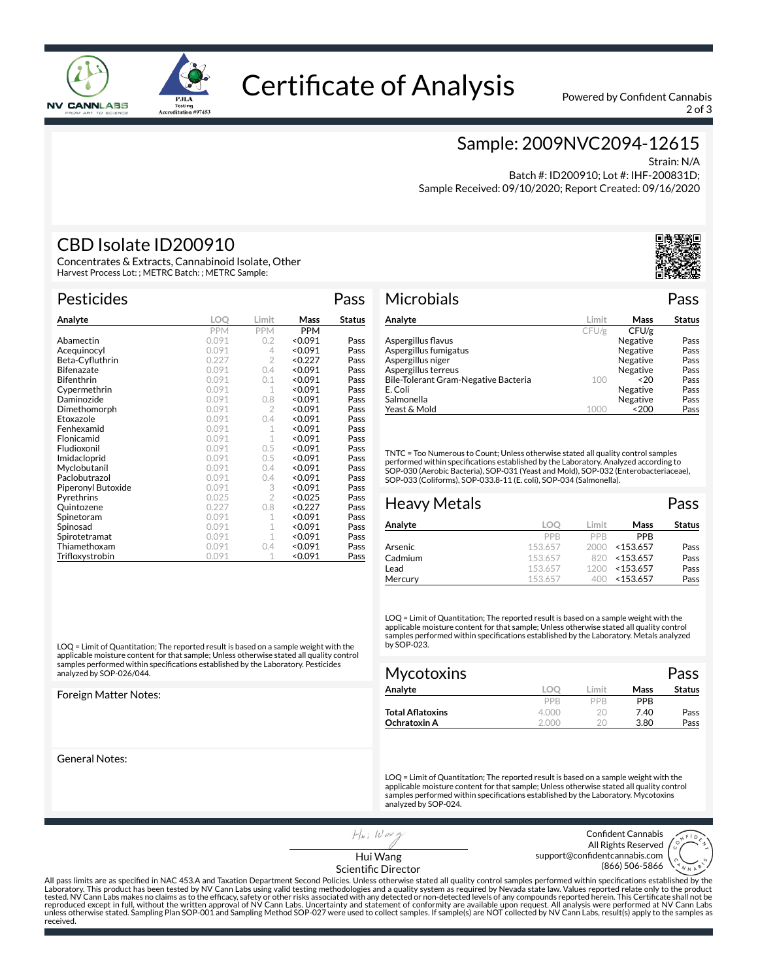

# Certificate of Analysis Powered by Confident Cannabis

2 of 3

### Sample: 2009NVC2094-12615

Strain: N/A

 Batch #: ID200910; Lot #: IHF-200831D; Sample Received: 09/10/2020; Report Created: 09/16/2020

### CBD Isolate ID200910

oid Isolate, Other Harvest Process Lot: ; METRC Batch: ; METRC Sample:

**PJLA** 

Testing<br>Accreditation #97453

|  | CDD ISUIGLE IDZUUZI               |  |  |  |
|--|-----------------------------------|--|--|--|
|  | Concentrates & Extracts, Cannabin |  |  |  |

Pesticides **Pass** 

| Analyte            | LOO        | Limit          | Mass       | Status |
|--------------------|------------|----------------|------------|--------|
|                    | <b>PPM</b> | <b>PPM</b>     | <b>PPM</b> |        |
| Abamectin          | 0.091      | 0.2            | < 0.091    | Pass   |
| Acequinocyl        | 0.091      | 4              | < 0.091    | Pass   |
| Beta-Cyfluthrin    | 0.227      | $\overline{2}$ | < 0.227    | Pass   |
| <b>Bifenazate</b>  | 0.091      | 0.4            | < 0.091    | Pass   |
| <b>Bifenthrin</b>  | 0.091      | 0.1            | < 0.091    | Pass   |
| Cypermethrin       | 0.091      | 1              | < 0.091    | Pass   |
| Daminozide         | 0.091      | 0.8            | < 0.091    | Pass   |
| Dimethomorph       | 0.091      | $\overline{2}$ | < 0.091    | Pass   |
| Etoxazole          | 0.091      | 0.4            | < 0.091    | Pass   |
| Fenhexamid         | 0.091      | 1              | < 0.091    | Pass   |
| Flonicamid         | 0.091      | 1              | < 0.091    | Pass   |
| Fludioxonil        | 0.091      | 0.5            | < 0.091    | Pass   |
| Imidacloprid       | 0.091      | 0.5            | < 0.091    | Pass   |
| Myclobutanil       | 0.091      | 0.4            | < 0.091    | Pass   |
| Paclobutrazol      | 0.091      | 0.4            | < 0.091    | Pass   |
| Piperonyl Butoxide | 0.091      | 3              | < 0.091    | Pass   |
| Pyrethrins         | 0.025      | $\overline{2}$ | < 0.025    | Pass   |
| Quintozene         | 0.227      | 0.8            | < 0.227    | Pass   |
| Spinetoram         | 0.091      | 1              | < 0.091    | Pass   |
| Spinosad           | 0.091      | 1              | < 0.091    | Pass   |
| Spirotetramat      | 0.091      | 1              | < 0.091    | Pass   |
| Thiamethoxam       | 0.091      | 0.4            | < 0.091    | Pass   |
| Trifloxystrobin    | 0.091      | 1              | < 0.091    | Pass   |

LOQ = Limit of Quantitation; The reported result is based on a sample weight with the applicable moisture content for that sample; Unless otherwise stated all quality control samples performed within specifications established by the Laboratory. Pesticides analyzed by SOP-026/044.

Foreign Matter Notes:

General Notes:



#### Microbials Pass

| Analyte                              | Limit | Mass     | <b>Status</b> |
|--------------------------------------|-------|----------|---------------|
|                                      | CFU/g | CFU/g    |               |
| Aspergillus flavus                   |       | Negative | Pass          |
| Aspergillus fumigatus                |       | Negative | Pass          |
| Aspergillus niger                    |       | Negative | Pass          |
| Aspergillus terreus                  |       | Negative | Pass          |
| Bile-Tolerant Gram-Negative Bacteria | 100   | ~520     | Pass          |
| E. Coli                              |       | Negative | Pass          |
| Salmonella                           |       | Negative | Pass          |
| Yeast & Mold                         | 1000  | $<$ 200  | Pass          |

TNTC = Too Numerous to Count; Unless otherwise stated all quality control samples performed within specifications established by the Laboratory. Analyzed according to<br>SOP-030 (Aerobic Bacteria), SOP-031 (Yeast and Mold), SOP-032 (Enterobacteriaceae), SOP-033 (Coliforms), SOP-033.8-11 (E. coli), SOP-034 (Salmonella).

| <b>Heavy Metals</b> |         |       |             | Pass          |
|---------------------|---------|-------|-------------|---------------|
| Analyte             | LOO     | Limit | Mass        | <b>Status</b> |
|                     | PPB     | PPB   | <b>PPR</b>  |               |
| Arsenic             | 153.657 | 2000  | $<$ 153.657 | Pass          |
| Cadmium             | 153.657 | 820   | $<$ 153.657 | Pass          |
| Lead                | 153.657 | 1200  | $<$ 153.657 | Pass          |
| Mercury             | 153.657 | 400   | $<$ 153.657 | Pass          |

LOQ = Limit of Quantitation; The reported result is based on a sample weight with the applicable moisture content for that sample; Unless otherwise stated all quality control samples performed within specifications established by the Laboratory. Metals analyzed by SOP-023.

| Mycotoxins       |       |       |            | Pass          |
|------------------|-------|-------|------------|---------------|
| Analyte          | loc   | Limit | Mass       | <b>Status</b> |
|                  | PPB   | PPR   | <b>PPR</b> |               |
| Total Aflatoxins | 4.000 | 20    | 7.40       | Pass          |
| Ochratoxin A     | 2.000 | 20    | 3.80       | Pass          |

LOQ = Limit of Quantitation; The reported result is based on a sample weight with the applicable moisture content for that sample; Unless otherwise stated all quality control samples performed within specifications established by the Laboratory. Mycotoxins analyzed by SOP-024.

 $H|_{H}$ ; Waxq Hui Wang

Confident Cannabis All Rights Reserved support@confidentcannabis.com (866) 506-5866



Scientific Director

All pass limits are as specified in NAC 453.A and Taxation Department Second Policies. Unless otherwise stated all quality control samples performed within specifications established by the<br>Laboratory. This product has bee tested. NV Cann Labs makes no claims as to the efficacy, safety or other risks associated with any detected or non-detected levels of any compounds reported herein. This Certificate shall not be<br>reproduced except in full, received.